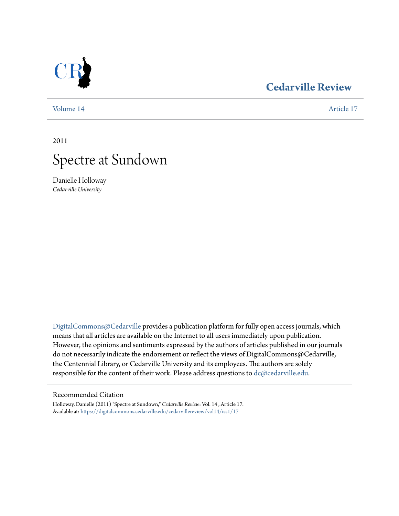## **[Cedarville Review](https://digitalcommons.cedarville.edu/cedarvillereview?utm_source=digitalcommons.cedarville.edu%2Fcedarvillereview%2Fvol14%2Fiss1%2F17&utm_medium=PDF&utm_campaign=PDFCoverPages)**

[Volume 14](https://digitalcommons.cedarville.edu/cedarvillereview/vol14?utm_source=digitalcommons.cedarville.edu%2Fcedarvillereview%2Fvol14%2Fiss1%2F17&utm_medium=PDF&utm_campaign=PDFCoverPages) [Article 17](https://digitalcommons.cedarville.edu/cedarvillereview/vol14/iss1/17?utm_source=digitalcommons.cedarville.edu%2Fcedarvillereview%2Fvol14%2Fiss1%2F17&utm_medium=PDF&utm_campaign=PDFCoverPages)

2011



Danielle Holloway *Cedarville University*

[DigitalCommons@Cedarville](http://digitalcommons.cedarville.edu) provides a publication platform for fully open access journals, which means that all articles are available on the Internet to all users immediately upon publication. However, the opinions and sentiments expressed by the authors of articles published in our journals do not necessarily indicate the endorsement or reflect the views of DigitalCommons@Cedarville, the Centennial Library, or Cedarville University and its employees. The authors are solely responsible for the content of their work. Please address questions to [dc@cedarville.edu](mailto:dc@cedarville.edu).

## Recommended Citation

Holloway, Danielle (2011) "Spectre at Sundown," *Cedarville Review*: Vol. 14 , Article 17. Available at: [https://digitalcommons.cedarville.edu/cedarvillereview/vol14/iss1/17](https://digitalcommons.cedarville.edu/cedarvillereview/vol14/iss1/17?utm_source=digitalcommons.cedarville.edu%2Fcedarvillereview%2Fvol14%2Fiss1%2F17&utm_medium=PDF&utm_campaign=PDFCoverPages)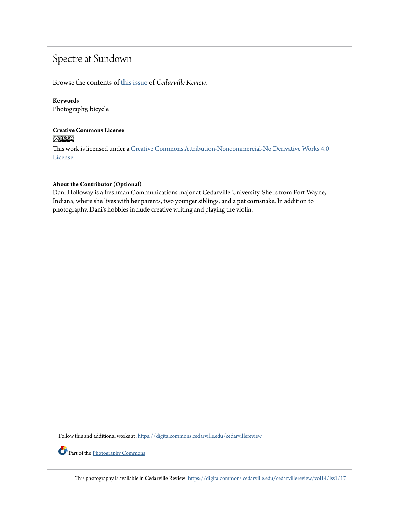# Spectre at Sundown

Browse the contents of [this issue](https://digitalcommons.cedarville.edu/cedarvillereview/vol14/iss1) of *Cedarville Review*.

## **Keywords**

Photography, bicycle

## **Creative Commons License**  $\bigcirc$   $\circ$

This work is licensed under a [Creative Commons Attribution-Noncommercial-No Derivative Works 4.0](http://creativecommons.org/licenses/by-nc-nd/4.0/) [License.](http://creativecommons.org/licenses/by-nc-nd/4.0/)

## **About the Contributor (Optional)**

Dani Holloway is a freshman Communications major at Cedarville University. She is from Fort Wayne, Indiana, where she lives with her parents, two younger siblings, and a pet cornsnake. In addition to photography, Dani's hobbies include creative writing and playing the violin.

Follow this and additional works at: [https://digitalcommons.cedarville.edu/cedarvillereview](https://digitalcommons.cedarville.edu/cedarvillereview?utm_source=digitalcommons.cedarville.edu%2Fcedarvillereview%2Fvol14%2Fiss1%2F17&utm_medium=PDF&utm_campaign=PDFCoverPages)

Part of the [Photography Commons](http://network.bepress.com/hgg/discipline/1142?utm_source=digitalcommons.cedarville.edu%2Fcedarvillereview%2Fvol14%2Fiss1%2F17&utm_medium=PDF&utm_campaign=PDFCoverPages)

This photography is available in Cedarville Review: [https://digitalcommons.cedarville.edu/cedarvillereview/vol14/iss1/17](https://digitalcommons.cedarville.edu/cedarvillereview/vol14/iss1/17?utm_source=digitalcommons.cedarville.edu%2Fcedarvillereview%2Fvol14%2Fiss1%2F17&utm_medium=PDF&utm_campaign=PDFCoverPages)